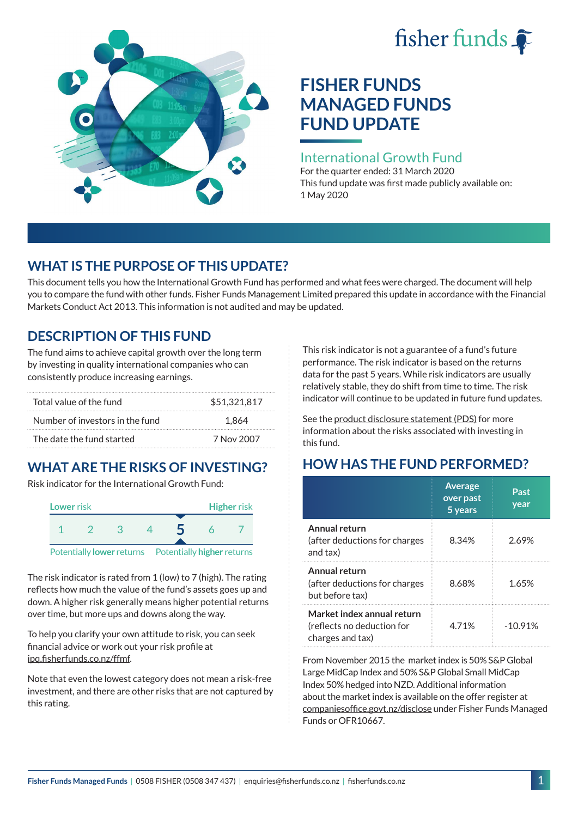# fisher funds  $\hat{\bullet}$



# **FISHER FUNDS MANAGED FUNDS FUND UPDATE**

### International Growth Fund

For the quarter ended: 31 March 2020 This fund update was first made publicly available on: 1 May 2020

# **WHAT IS THE PURPOSE OF THIS UPDATE?**

This document tells you how the International Growth Fund has performed and what fees were charged. The document will help you to compare the fund with other funds. Fisher Funds Management Limited prepared this update in accordance with the Financial Markets Conduct Act 2013. This information is not audited and may be updated.

# **DESCRIPTION OF THIS FUND**

The fund aims to achieve capital growth over the long term by investing in quality international companies who can consistently produce increasing earnings.

| Total value of the fund         | \$51,321,817 |
|---------------------------------|--------------|
| Number of investors in the fund | 1.864        |
| The date the fund started       | 7 Nov 2007   |

# **WHAT ARE THE RISKS OF INVESTING?**

Risk indicator for the International Growth Fund:



The risk indicator is rated from 1 (low) to 7 (high). The rating reflects how much the value of the fund's assets goes up and down. A higher risk generally means higher potential returns over time, but more ups and downs along the way.

To help you clarify your own attitude to risk, you can seek financial advice or work out your risk profile at [ipq.fisherfunds.co.nz/ffmf](https://ipq.fisherfunds.co.nz/ffmf).

Note that even the lowest category does not mean a risk-free investment, and there are other risks that are not captured by this rating.

This risk indicator is not a guarantee of a fund's future performance. The risk indicator is based on the returns data for the past 5 years. While risk indicators are usually relatively stable, they do shift from time to time. The risk indicator will continue to be updated in future fund updates.

See the [product disclosure statement \(PDS\)](https://fisherfunds.co.nz/assets/PDS/Fisher-Funds-Managed-Funds-PDS.pdf) for more information about the risks associated with investing in this fund.

# **HOW HAS THE FUND PERFORMED?**

|                                                                              | <b>Average</b><br>over past<br>5 years | Past<br>year |
|------------------------------------------------------------------------------|----------------------------------------|--------------|
| Annual return<br>(after deductions for charges<br>and tax)                   | 8.34%                                  | 2.69%        |
| Annual return<br>(after deductions for charges<br>but before tax)            | 8.68%                                  | 1.65%        |
| Market index annual return<br>(reflects no deduction for<br>charges and tax) | 4.71%                                  | $-10.91%$    |

From November 2015 the market index is 50% S&P Global Large MidCap Index and 50% S&P Global Small MidCap Index 50% hedged into NZD. Additional information about the market index is available on the offer register at [companiesoffice.govt.nz/disclose](http://companiesoffice.govt.nz/disclose) under Fisher Funds Managed Funds or OFR10667.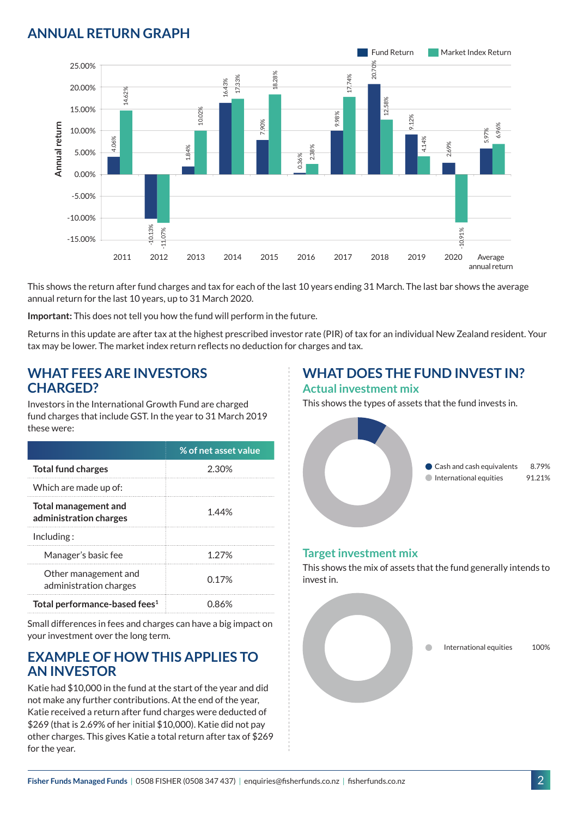# **ANNUAL RETURN GRAPH**



This shows the return after fund charges and tax for each of the last 10 years ending 31 March. The last bar shows the average annual return for the last 10 years, up to 31 March 2020.

**Important:** This does not tell you how the fund will perform in the future.

Returns in this update are after tax at the highest prescribed investor rate (PIR) of tax for an individual New Zealand resident. Your tax may be lower. The market index return reflects no deduction for charges and tax.

#### **WHAT FEES ARE INVESTORS CHARGED?**

Investors in the International Growth Fund are charged fund charges that include GST. In the year to 31 March 2019 these were:

|                                                | % of net asset value |
|------------------------------------------------|----------------------|
| <b>Total fund charges</b>                      | 2.30%                |
| Which are made up of:                          |                      |
| Total management and<br>administration charges | 1.44%                |
| Inding:                                        |                      |
| Manager's basic fee                            | 1.27%                |
| Other management and<br>administration charges | 0.17%                |
| Total performance-based fees <sup>1</sup>      | 0.86%                |

Small differences in fees and charges can have a big impact on your investment over the long term.

#### **EXAMPLE OF HOW THIS APPLIES TO AN INVESTOR**

Katie had \$10,000 in the fund at the start of the year and did not make any further contributions. At the end of the year, Katie received a return after fund charges were deducted of \$269 (that is 2.69% of her initial \$10,000). Katie did not pay other charges. This gives Katie a total return after tax of \$269 for the year.

# **WHAT DOES THE FUND INVEST IN?**

#### **Actual investment mix**

This shows the types of assets that the fund invests in.



#### **Target investment mix**

This shows the mix of assets that the fund generally intends to invest in.